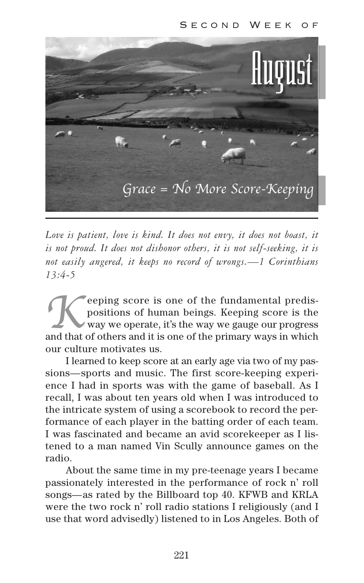

*Love is patient, love is kind. It does not envy, it does not boast, it is not proud. It does not dishonor others, it is not self-seeking, it is not easily angered, it keeps no record of wrongs.—1 Corinthians 13:4-5* 

**EXECUTE AND AND SET OF STARK AND SET OF STARK AND SET ON STARK AND SET ON STARK AND SET ON STARK AND SET ON STARK AND SET ON STARK AND SET ON STARK AND SET ON STARK AND SET ON STARK AND SET ON STARK AND SET ON STARK AND S** eeping score is one of the fundamental predispositions of human beings. Keeping score is the way we operate, it's the way we gauge our progress our culture motivates us.

I learned to keep score at an early age via two of my passions—sports and music. The first score-keeping experience I had in sports was with the game of baseball. As I recall, I was about ten years old when I was introduced to the intricate system of using a scorebook to record the performance of each player in the batting order of each team. I was fascinated and became an avid scorekeeper as I listened to a man named Vin Scully announce games on the radio.

About the same time in my pre-teenage years I became passionately interested in the performance of rock n' roll songs—as rated by the Billboard top 40. KFWB and KRLA were the two rock n' roll radio stations I religiously (and I use that word advisedly) listened to in Los Angeles. Both of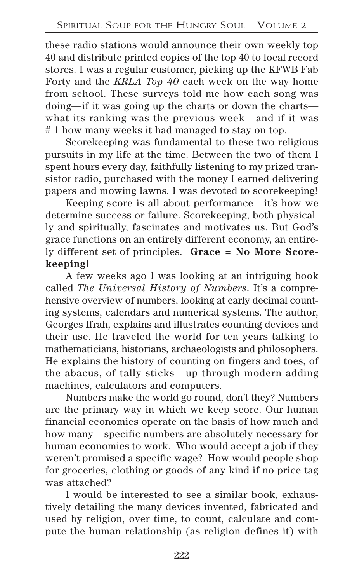these radio stations would announce their own weekly top 40 and distribute printed copies of the top 40 to local record stores. I was a regular customer, picking up the KFWB Fab Forty and the *KRLA Top 40* each week on the way home from school. These surveys told me how each song was doing—if it was going up the charts or down the charts what its ranking was the previous week—and if it was # 1 how many weeks it had managed to stay on top.

Scorekeeping was fundamental to these two religious pursuits in my life at the time. Between the two of them I spent hours every day, faithfully listening to my prized transistor radio, purchased with the money I earned delivering papers and mowing lawns. I was devoted to scorekeeping!

Keeping score is all about performance—it's how we determine success or failure. Scorekeeping, both physically and spiritually, fascinates and motivates us. But God's grace functions on an entirely different economy, an entirely different set of principles. **Grace = No More Scorekeeping!**

A few weeks ago I was looking at an intriguing book called *The Universal History of Numbers*. It's a comprehensive overview of numbers, looking at early decimal counting systems, calendars and numerical systems. The author, Georges Ifrah, explains and illustrates counting devices and their use. He traveled the world for ten years talking to mathematicians, historians, archaeologists and philosophers. He explains the history of counting on fingers and toes, of the abacus, of tally sticks—up through modern adding machines, calculators and computers.

Numbers make the world go round, don't they? Numbers are the primary way in which we keep score. Our human financial economies operate on the basis of how much and how many—specific numbers are absolutely necessary for human economies to work. Who would accept a job if they weren't promised a specific wage? How would people shop for groceries, clothing or goods of any kind if no price tag was attached?

I would be interested to see a similar book, exhaustively detailing the many devices invented, fabricated and used by religion, over time, to count, calculate and compute the human relationship (as religion defines it) with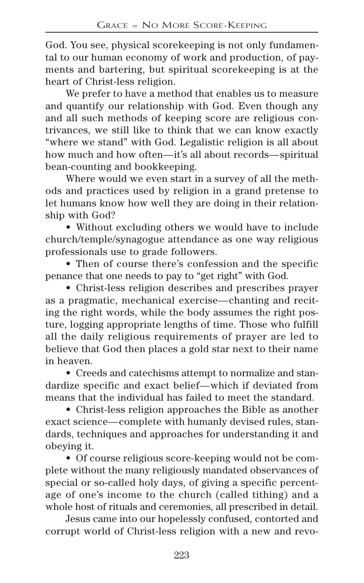God. You see, physical scorekeeping is not only fundamental to our human economy of work and production, of payments and bartering, but spiritual scorekeeping is at the heart of Christ-less religion.

We prefer to have a method that enables us to measure and quantify our relationship with God. Even though any and all such methods of keeping score are religious contrivances, we still like to think that we can know exactly "where we stand" with God. Legalistic religion is all about how much and how often—it's all about records—spiritual bean-counting and bookkeeping.

Where would we even start in a survey of all the methods and practices used by religion in a grand pretense to let humans know how well they are doing in their relationship with God?

• Without excluding others we would have to include church/temple/synagogue attendance as one way religious professionals use to grade followers.

• Then of course there's confession and the specific penance that one needs to pay to "get right" with God.

• Christ-less religion describes and prescribes prayer as a pragmatic, mechanical exercise—chanting and reciting the right words, while the body assumes the right posture, logging appropriate lengths of time. Those who fulfill all the daily religious requirements of prayer are led to believe that God then places a gold star next to their name in heaven.

• Creeds and catechisms attempt to normalize and standardize specific and exact belief—which if deviated from means that the individual has failed to meet the standard.

• Christ-less religion approaches the Bible as another exact science—complete with humanly devised rules, standards, techniques and approaches for understanding it and obeying it.

• Of course religious score-keeping would not be complete without the many religiously mandated observances of special or so-called holy days, of giving a specific percentage of one's income to the church (called tithing) and a whole host of rituals and ceremonies, all prescribed in detail.

Jesus came into our hopelessly confused, contorted and corrupt world of Christ-less religion with a new and revo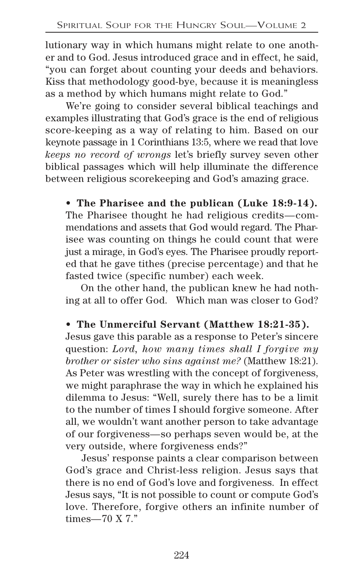lutionary way in which humans might relate to one another and to God. Jesus introduced grace and in effect, he said, "you can forget about counting your deeds and behaviors. Kiss that methodology good-bye, because it is meaningless as a method by which humans might relate to God."

We're going to consider several biblical teachings and examples illustrating that God's grace is the end of religious score-keeping as a way of relating to him. Based on our keynote passage in 1 Corinthians 13:5, where we read that love *keeps no record of wrongs* let's briefly survey seven other biblical passages which will help illuminate the difference between religious scorekeeping and God's amazing grace.

**• The Pharisee and the publican (Luke 18:9-14).** The Pharisee thought he had religious credits—commendations and assets that God would regard. The Pharisee was counting on things he could count that were just a mirage, in God's eyes. The Pharisee proudly reported that he gave tithes (precise percentage) and that he fasted twice (specific number) each week.

On the other hand, the publican knew he had nothing at all to offer God. Which man was closer to God?

#### **• The Unmerciful Servant (Matthew 18:21-35).**

Jesus gave this parable as a response to Peter's sincere question: *Lord, how many times shall I forgive my brother or sister who sins against me?* (Matthew 18:21). As Peter was wrestling with the concept of forgiveness, we might paraphrase the way in which he explained his dilemma to Jesus: "Well, surely there has to be a limit to the number of times I should forgive someone. After all, we wouldn't want another person to take advantage of our forgiveness—so perhaps seven would be, at the very outside, where forgiveness ends?"

Jesus' response paints a clear comparison between God's grace and Christ-less religion. Jesus says that there is no end of God's love and forgiveness. In effect Jesus says, "It is not possible to count or compute God's love. Therefore, forgive others an infinite number of times—70 X 7."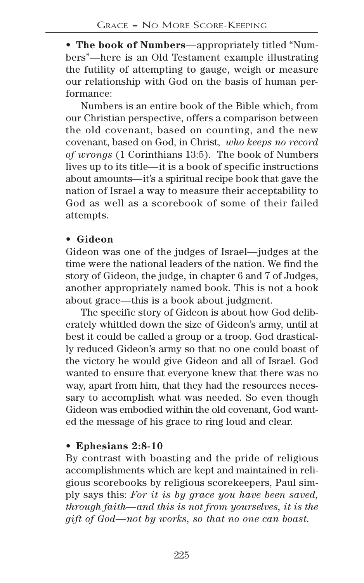• **The book of Numbers**—appropriately titled "Numbers"—here is an Old Testament example illustrating the futility of attempting to gauge, weigh or measure our relationship with God on the basis of human performance:

Numbers is an entire book of the Bible which, from our Christian perspective, offers a comparison between the old covenant, based on counting, and the new covenant, based on God, in Christ, *who keeps no record of wrongs* (1 Corinthians 13:5). The book of Numbers lives up to its title—it is a book of specific instructions about amounts—it's a spiritual recipe book that gave the nation of Israel a way to measure their acceptability to God as well as a scorebook of some of their failed attempts.

#### **• Gideon**

Gideon was one of the judges of Israel—judges at the time were the national leaders of the nation. We find the story of Gideon, the judge, in chapter 6 and 7 of Judges, another appropriately named book. This is not a book about grace—this is a book about judgment.

The specific story of Gideon is about how God deliberately whittled down the size of Gideon's army, until at best it could be called a group or a troop. God drastically reduced Gideon's army so that no one could boast of the victory he would give Gideon and all of Israel. God wanted to ensure that everyone knew that there was no way, apart from him, that they had the resources necessary to accomplish what was needed. So even though Gideon was embodied within the old covenant, God wanted the message of his grace to ring loud and clear.

# • **Ephesians 2:8-10**

By contrast with boasting and the pride of religious accomplishments which are kept and maintained in religious scorebooks by religious scorekeepers, Paul simply says this: *For it is by grace you have been saved, through faith—and this is not from yourselves, it is the gift of God—not by works, so that no one can boast.*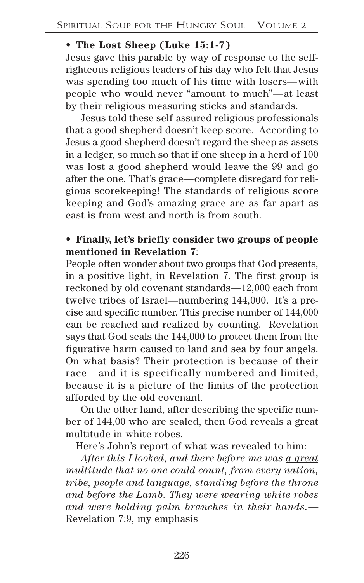# • **The Lost Sheep (Luke 15:1-7)**

Jesus gave this parable by way of response to the selfrighteous religious leaders of his day who felt that Jesus was spending too much of his time with losers—with people who would never "amount to much"—at least by their religious measuring sticks and standards.

Jesus told these self-assured religious professionals that a good shepherd doesn't keep score. According to Jesus a good shepherd doesn't regard the sheep as assets in a ledger, so much so that if one sheep in a herd of 100 was lost a good shepherd would leave the 99 and go after the one. That's grace—complete disregard for religious scorekeeping! The standards of religious score keeping and God's amazing grace are as far apart as east is from west and north is from south.

# • **Finally, let's briefly consider two groups of people mentioned in Revelation 7**:

People often wonder about two groups that God presents, in a positive light, in Revelation 7. The first group is reckoned by old covenant standards—12,000 each from twelve tribes of Israel—numbering 144,000. It's a precise and specific number. This precise number of 144,000 can be reached and realized by counting. Revelation says that God seals the 144,000 to protect them from the figurative harm caused to land and sea by four angels. On what basis? Their protection is because of their race—and it is specifically numbered and limited, because it is a picture of the limits of the protection afforded by the old covenant.

On the other hand, after describing the specific number of 144,00 who are sealed, then God reveals a great multitude in white robes.

Here's John's report of what was revealed to him:

*After this I looked, and there before me was a great multitude that no one could count, from every nation, tribe, people and language, standing before the throne and before the Lamb. They were wearing white robes and were holding palm branches in their hands.*— Revelation 7:9, my emphasis